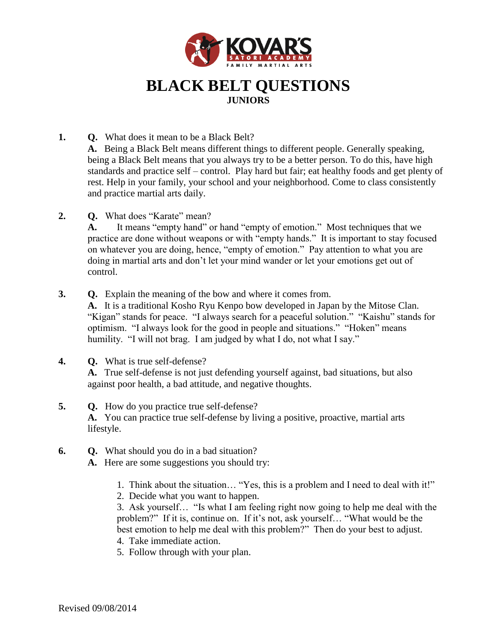

## **BLACK BELT QUESTIONS JUNIORS**

- **1. Q.** What does it mean to be a Black Belt? **A.** Being a Black Belt means different things to different people. Generally speaking, being a Black Belt means that you always try to be a better person. To do this, have high standards and practice self – control. Play hard but fair; eat healthy foods and get plenty of rest. Help in your family, your school and your neighborhood. Come to class consistently and practice martial arts daily.
- **2. Q.** What does "Karate" mean?

**A.** It means "empty hand" or hand "empty of emotion." Most techniques that we practice are done without weapons or with "empty hands." It is important to stay focused on whatever you are doing, hence, "empty of emotion." Pay attention to what you are doing in martial arts and don't let your mind wander or let your emotions get out of control.

**3. Q.** Explain the meaning of the bow and where it comes from. **A.** It is a traditional Kosho Ryu Kenpo bow developed in Japan by the Mitose Clan.

"Kigan" stands for peace. "I always search for a peaceful solution." "Kaishu" stands for optimism. "I always look for the good in people and situations." "Hoken" means humility. "I will not brag. I am judged by what I do, not what I say."

- **4. Q.** What is true self-defense? **A.** True self-defense is not just defending yourself against, bad situations, but also against poor health, a bad attitude, and negative thoughts.
- **5. Q.** How do you practice true self-defense? **A.** You can practice true self-defense by living a positive, proactive, martial arts lifestyle.
- **6. Q.** What should you do in a bad situation?
	- **A.** Here are some suggestions you should try:
		- 1. Think about the situation… "Yes, this is a problem and I need to deal with it!"
		- 2. Decide what you want to happen.

3. Ask yourself… "Is what I am feeling right now going to help me deal with the problem?" If it is, continue on. If it's not, ask yourself… "What would be the best emotion to help me deal with this problem?" Then do your best to adjust.

- 4. Take immediate action.
- 5. Follow through with your plan.